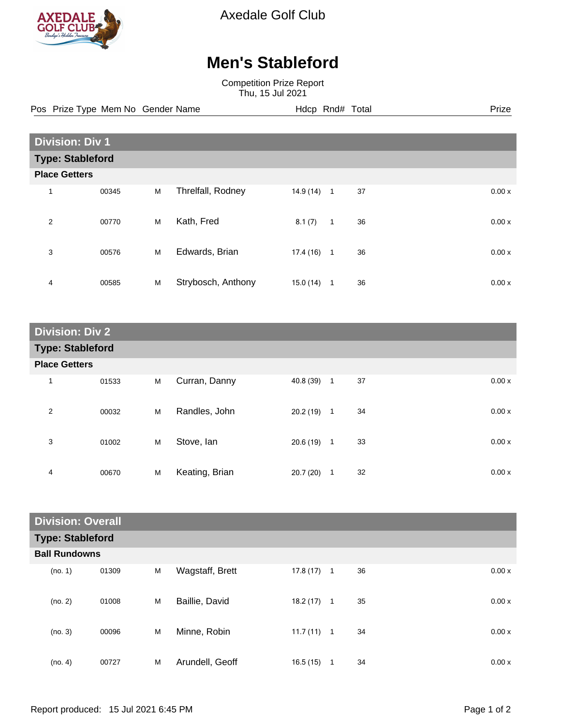

Axedale Golf Club

## **Men's Stableford**

Competition Prize Report Thu, 15 Jul 2021

Pos Prize Type Mem No Gender Name **Hdcp Rnd# Total** Prize Prize

| <b>Division: Div 1</b>  |       |   |                    |           |              |    |  |       |
|-------------------------|-------|---|--------------------|-----------|--------------|----|--|-------|
| <b>Type: Stableford</b> |       |   |                    |           |              |    |  |       |
| <b>Place Getters</b>    |       |   |                    |           |              |    |  |       |
| 1                       | 00345 | M | Threlfall, Rodney  | 14.9 (14) | $\mathbf{1}$ | 37 |  | 0.00x |
| 2                       | 00770 | M | Kath, Fred         | 8.1(7)    | $\mathbf{1}$ | 36 |  | 0.00x |
| 3                       | 00576 | M | Edwards, Brian     | 17.4 (16) | $\mathbf{1}$ | 36 |  | 0.00x |
| 4                       | 00585 | M | Strybosch, Anthony | 15.0(14)  | 1            | 36 |  | 0.00x |

| <b>Division: Div 2</b>  |       |   |                |             |                |    |       |
|-------------------------|-------|---|----------------|-------------|----------------|----|-------|
| <b>Type: Stableford</b> |       |   |                |             |                |    |       |
| <b>Place Getters</b>    |       |   |                |             |                |    |       |
| $\mathbf{1}$            | 01533 | M | Curran, Danny  | 40.8 (39) 1 |                | 37 | 0.00x |
| $\overline{2}$          | 00032 | M | Randles, John  | 20.2(19)    | $\mathbf{1}$   | 34 | 0.00x |
| 3                       | 01002 | M | Stove, Ian     | 20.6 (19)   | $\overline{1}$ | 33 | 0.00x |
| 4                       | 00670 | M | Keating, Brian | 20.7 (20)   | $\mathbf{1}$   | 32 | 0.00x |

| <b>Division: Overall</b> |       |   |                 |              |   |    |  |       |
|--------------------------|-------|---|-----------------|--------------|---|----|--|-------|
| <b>Type: Stableford</b>  |       |   |                 |              |   |    |  |       |
| <b>Ball Rundowns</b>     |       |   |                 |              |   |    |  |       |
| (no. 1)                  | 01309 | M | Wagstaff, Brett | $17.8(17)$ 1 |   | 36 |  | 0.00x |
| (no. 2)                  | 01008 | M | Baillie, David  | 18.2(17)     | 1 | 35 |  | 0.00x |
| (no. 3)                  | 00096 | M | Minne, Robin    | $11.7(11)$ 1 |   | 34 |  | 0.00x |
| (no. 4)                  | 00727 | M | Arundell, Geoff | 16.5(15)     | 1 | 34 |  | 0.00x |